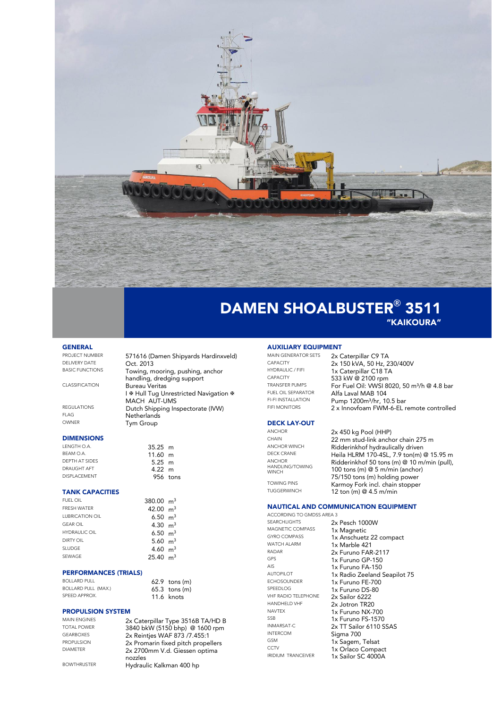

### DAMEN SHOALBUSTER**®** 3511 "KAIKOURA"

## **GENERAL**<br>**PROJECT NUMBER**

PROJECT NUMBER 571616 (Damen Shipyards Hardinxveld) DELIVERY DATE **Oct. 2013**<br>BASIC FUNCTIONS **Towing** 

CLASSIFICATION Bureau Veritas

REGULATIONS<br>FLAG Dutch Shipping Inspectorate (IVW) FLAG **Netherlands**<br>
OWNER Tym Group

#### **DIMENSIONS**

| 35.25 m          |  |
|------------------|--|
| $11.60$ m        |  |
| $5.25 \text{ m}$ |  |
| $4.22 \; m$      |  |
| 956 tons         |  |
|                  |  |

### TANK CAPACITIES

| <b>FUEL OIL</b>        | 380.00 $m3$         |  |
|------------------------|---------------------|--|
| <b>FRESH WATER</b>     | 42.00 $m3$          |  |
| <b>LUBRICATION OIL</b> | 6.50 $m3$           |  |
| <b>GEAR OIL</b>        | 4.30 $m3$           |  |
| <b>HYDRAULIC OIL</b>   | 6.50 $m3$           |  |
| <b>DIRTY OIL</b>       | 5.60 $m3$           |  |
| <b>SLUDGE</b>          | 4.60 $m3$           |  |
| SEWAGE                 | $25.40 \text{ m}^3$ |  |
|                        |                     |  |

#### PERFORMANCES (TRIALS)

| BOLLARD PULL               | $62.9$ tons $(m)$ |
|----------------------------|-------------------|
| <b>BOLLARD PULL (MAX.)</b> | $65.3$ tons $(m)$ |
| SPEED APPROX.              | $11.6$ knots      |

### PROPULSION SYSTEM

MAIN ENGINES 2x Caterpillar Type 3516B TA/HD B<br>19840 black 15150 bbo) @ 1600 rpm TOTAL POWER 3840 bkW (5150 bhp) @ 1600 rpm GEARBOXES 2x Reintjes WAF 873 /7.455:1<br>PROPULSION 2x Promarin fixed pitch prope PROPULSION 2x Promarin fixed pitch propellers<br>DIAMETER 2x 2700mm V.d. Giessen optima 2x 2700mm V.d. Giessen optima nozzles BOWTHRUSTER Hydraulic Kalkman 400 hp

Towing, mooring, pushing, anchor handling, dredging support

MACH AUT-UMS

Tym Group

I <sup>®</sup> Hull Tug Unrestricted Navigation <sup>®</sup>

### **AUXILIARY EQUIPMENT**<br>MAIN GENERATOR SETS 2000

MAIN GENERATOR SETS 2x Caterpillar C9 TA

### DECK LAY-OUT

ANCHOR HANDLING/TOWING WINCH<sup></sup>

CAPACITY 2x 150 kVA, 50 Hz, 230/400V<br>
HYDRAULIC / FIFL 1x Caternillar C18 TA HYDRAULIC / FIFI 1x Caterpillar C18 TA<br>CAPACITY 533 kW @ 2100 rpm CAPACITY<br>
CAPACITY 533 kW @ 2100 rpm<br>
TRANSFER PUMPS For Fuel Oil: VWSL 80 TRANSFER PUMPS For Fuel Oil: VWSI 8020, 50 m<sup>3</sup>/h @ 4.8 bar<br>FUEL OIL SEPARATOR Alfa I aval MAB 104 FUEL OIL SEPARATOR<br>FI-FI INSTALLATION<br>Pump 1200m<sup>3</sup>/br 11 FI-FI INSTALLATION Pump 1200m<sup>3</sup>/hr, 10.5 bar<br>FIFI MONITORS 2 v **Innovégam EWM 4 EL** 2 x Innovfoam FWM-6-EL remote controlled

# ANCHOR 2x 450 kg Pool (HHP)<br>CHAIN 22 mm stud link anch

CHAIN 22 mm stud-link anchor chain 275 m<br>ANCHOR WINCH Ridderinkhof hydraulically driven ANCHOR WINCH<br>DECK CRANE Haila HI RM 170-4SL 7.9 ton(m) Heila HLRM 170-4SL, 7.9 ton(m) @ 15.95 m Ridderinkhof 50 tons (m) @ 10 m/min (pull), 100 tons (m) @ 5 m/min (anchor) 75/150 tons (m) holding power TOWING PINS Karmoy Fork incl. chain stopper<br>TUGGERWINCH 12 ton (m) @ 4.5 m/min 12 ton (m)  $@$  4.5 m/min

### NAUTICAL AND COMMUNICATION EQUIPMENT

ACCORDING TO GMDSS AREA 3<br>SEARCHLIGHTS 2 SEARCHLIGHTS 2x Pesch 1000W<br>MAGNETIC COMPASS 1x Magnetic MAGNETIC COMPASS 1x Magnetic<br>GYRO COMPASS 1x Anschuet WATCH ALARM 1x Marble 421 RADAR  $2x$  Furuno FAR-2117 GPS 1x Furuno GP-150<br>Als 1x Furuno FA-150 AIS 1x Furuno FA-150<br>AUTOPILOT 1x Radio Zeeland ECHOSOUNDER 1x Furuno FE-700<br>SPEEDLOG 1x Furuno DS 80 SPEEDLOG 1x Furuno DS-80 VHF RADIO TELEPHONE 2x Sailor 6222 HANDHELD VHF 2x Jotron TR20 NAVTEX 1x Furuno NX-700 SSB 1x Furuno FS-1570<br>
INMARSAT-C 2Y TT Sailor 6110 S INTERCOM Sigma 700 GSM 1x Sagem, Telsat<br>CCTV 1x Orlaco Compa

GYRO COMPASS 1x Anschuetz 22 compact<br>WATCH ALARM 1x Marble 421 AUTOPILOT 1x Radio Zeeland Seapilot 75<br>
ECHOSOUNDER
1x Furuno FF-700 INMARSAT-C 2x TT Sailor 6110 SSAS<br>
INTERCOM Sigma 700 CCTV 1x Orlaco Compact<br>
IRIDIUM TRANCEIVER 1y Sailor CC 4000A 1x Sailor SC 4000A